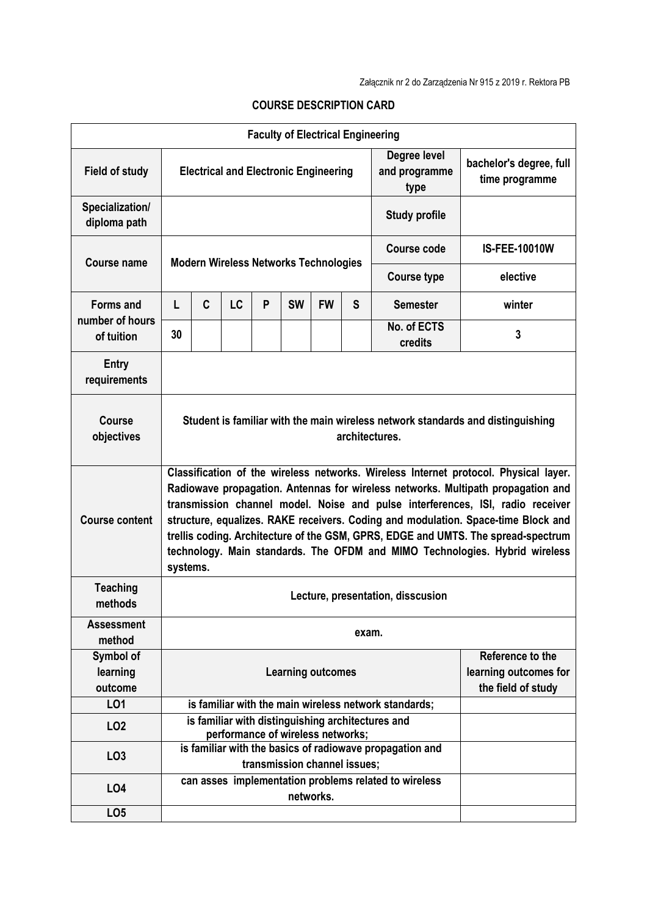| <b>Faculty of Electrical Engineering</b>          |                                                                                                                                                                                                                                                                                                                                                                                                                                                                                                                                 |                                                                                                                               |                                                                    |   |           |           |                                       |                                                       |                      |  |
|---------------------------------------------------|---------------------------------------------------------------------------------------------------------------------------------------------------------------------------------------------------------------------------------------------------------------------------------------------------------------------------------------------------------------------------------------------------------------------------------------------------------------------------------------------------------------------------------|-------------------------------------------------------------------------------------------------------------------------------|--------------------------------------------------------------------|---|-----------|-----------|---------------------------------------|-------------------------------------------------------|----------------------|--|
| <b>Field of study</b>                             | <b>Electrical and Electronic Engineering</b>                                                                                                                                                                                                                                                                                                                                                                                                                                                                                    |                                                                                                                               |                                                                    |   |           |           | Degree level<br>and programme<br>type | bachelor's degree, full<br>time programme             |                      |  |
| Specialization/<br>diploma path                   | <b>Study profile</b>                                                                                                                                                                                                                                                                                                                                                                                                                                                                                                            |                                                                                                                               |                                                                    |   |           |           |                                       |                                                       |                      |  |
| <b>Course name</b>                                | <b>Modern Wireless Networks Technologies</b>                                                                                                                                                                                                                                                                                                                                                                                                                                                                                    |                                                                                                                               |                                                                    |   |           |           |                                       | Course code                                           | <b>IS-FEE-10010W</b> |  |
|                                                   |                                                                                                                                                                                                                                                                                                                                                                                                                                                                                                                                 |                                                                                                                               |                                                                    |   |           |           |                                       | <b>Course type</b>                                    | elective             |  |
| <b>Forms and</b><br>number of hours<br>of tuition | L                                                                                                                                                                                                                                                                                                                                                                                                                                                                                                                               | C                                                                                                                             | <b>LC</b>                                                          | P | <b>SW</b> | <b>FW</b> | S                                     | <b>Semester</b>                                       | winter               |  |
|                                                   | 30                                                                                                                                                                                                                                                                                                                                                                                                                                                                                                                              |                                                                                                                               |                                                                    |   |           |           |                                       | No. of ECTS<br>credits                                | 3                    |  |
| <b>Entry</b><br>requirements                      |                                                                                                                                                                                                                                                                                                                                                                                                                                                                                                                                 |                                                                                                                               |                                                                    |   |           |           |                                       |                                                       |                      |  |
| <b>Course</b><br>objectives                       | Student is familiar with the main wireless network standards and distinguishing<br>architectures.                                                                                                                                                                                                                                                                                                                                                                                                                               |                                                                                                                               |                                                                    |   |           |           |                                       |                                                       |                      |  |
| <b>Course content</b>                             | Classification of the wireless networks. Wireless Internet protocol. Physical layer.<br>Radiowave propagation. Antennas for wireless networks. Multipath propagation and<br>transmission channel model. Noise and pulse interferences, ISI, radio receiver<br>structure, equalizes. RAKE receivers. Coding and modulation. Space-time Block and<br>trellis coding. Architecture of the GSM, GPRS, EDGE and UMTS. The spread-spectrum<br>technology. Main standards. The OFDM and MIMO Technologies. Hybrid wireless<br>systems. |                                                                                                                               |                                                                    |   |           |           |                                       |                                                       |                      |  |
| <b>Teaching</b><br>methods                        | Lecture, presentation, disscusion                                                                                                                                                                                                                                                                                                                                                                                                                                                                                               |                                                                                                                               |                                                                    |   |           |           |                                       |                                                       |                      |  |
| <b>Assessment</b><br>method                       | exam.                                                                                                                                                                                                                                                                                                                                                                                                                                                                                                                           |                                                                                                                               |                                                                    |   |           |           |                                       |                                                       |                      |  |
| Symbol of<br>learning<br>outcome                  | Reference to the<br><b>Learning outcomes</b><br>the field of study                                                                                                                                                                                                                                                                                                                                                                                                                                                              |                                                                                                                               |                                                                    |   |           |           |                                       | learning outcomes for                                 |                      |  |
| LO1                                               |                                                                                                                                                                                                                                                                                                                                                                                                                                                                                                                                 |                                                                                                                               |                                                                    |   |           |           |                                       | is familiar with the main wireless network standards; |                      |  |
| LO <sub>2</sub>                                   |                                                                                                                                                                                                                                                                                                                                                                                                                                                                                                                                 |                                                                                                                               |                                                                    |   |           |           |                                       | is familiar with distinguishing architectures and     |                      |  |
| LO <sub>3</sub>                                   |                                                                                                                                                                                                                                                                                                                                                                                                                                                                                                                                 | performance of wireless networks;<br>is familiar with the basics of radiowave propagation and<br>transmission channel issues; |                                                                    |   |           |           |                                       |                                                       |                      |  |
| <b>LO4</b>                                        |                                                                                                                                                                                                                                                                                                                                                                                                                                                                                                                                 |                                                                                                                               | can asses implementation problems related to wireless<br>networks. |   |           |           |                                       |                                                       |                      |  |
| LO <sub>5</sub>                                   |                                                                                                                                                                                                                                                                                                                                                                                                                                                                                                                                 |                                                                                                                               |                                                                    |   |           |           |                                       |                                                       |                      |  |

## **COURSE DESCRIPTION CARD**